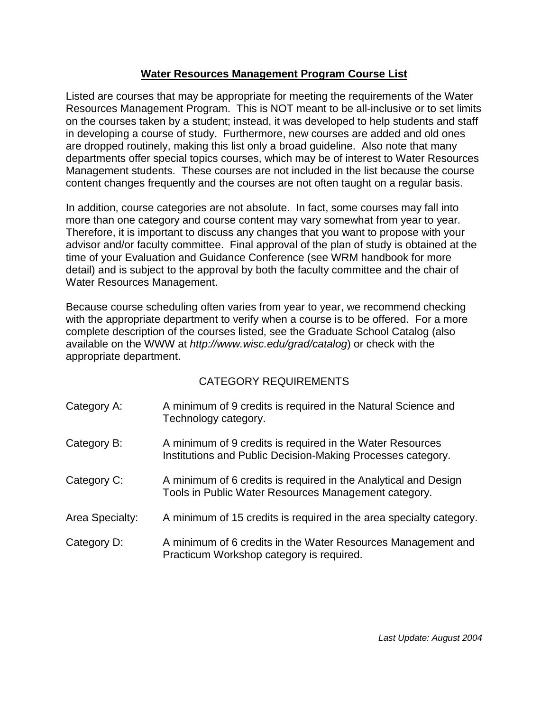## **Water Resources Management Program Course List**

Listed are courses that may be appropriate for meeting the requirements of the Water Resources Management Program. This is NOT meant to be all-inclusive or to set limits on the courses taken by a student; instead, it was developed to help students and staff in developing a course of study. Furthermore, new courses are added and old ones are dropped routinely, making this list only a broad guideline. Also note that many departments offer special topics courses, which may be of interest to Water Resources Management students. These courses are not included in the list because the course content changes frequently and the courses are not often taught on a regular basis.

In addition, course categories are not absolute. In fact, some courses may fall into more than one category and course content may vary somewhat from year to year. Therefore, it is important to discuss any changes that you want to propose with your advisor and/or faculty committee. Final approval of the plan of study is obtained at the time of your Evaluation and Guidance Conference (see WRM handbook for more detail) and is subject to the approval by both the faculty committee and the chair of Water Resources Management.

Because course scheduling often varies from year to year, we recommend checking with the appropriate department to verify when a course is to be offered. For a more complete description of the courses listed, see the Graduate School Catalog (also available on the WWW at *http://www.wisc.edu/grad/catalog*) or check with the appropriate department.

## CATEGORY REQUIREMENTS

| Category A:     | A minimum of 9 credits is required in the Natural Science and<br>Technology category.                                    |
|-----------------|--------------------------------------------------------------------------------------------------------------------------|
| Category B:     | A minimum of 9 credits is required in the Water Resources<br>Institutions and Public Decision-Making Processes category. |
| Category C:     | A minimum of 6 credits is required in the Analytical and Design<br>Tools in Public Water Resources Management category.  |
| Area Specialty: | A minimum of 15 credits is required in the area specialty category.                                                      |
| Category D:     | A minimum of 6 credits in the Water Resources Management and<br>Practicum Workshop category is required.                 |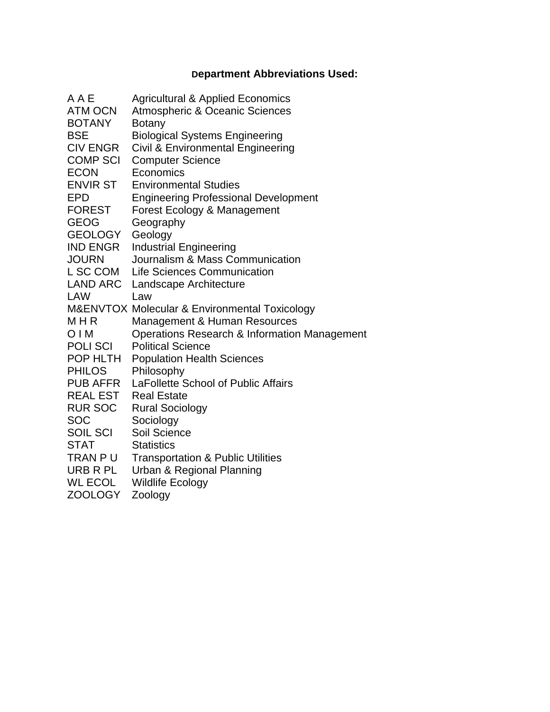# **Department Abbreviations Used:**

| A A E                          | <b>Agricultural &amp; Applied Economics</b>                  |
|--------------------------------|--------------------------------------------------------------|
| <b>ATM OCN</b>                 | <b>Atmospheric &amp; Oceanic Sciences</b>                    |
| <b>BOTANY</b>                  | <b>Botany</b>                                                |
| <b>BSE</b>                     | <b>Biological Systems Engineering</b>                        |
| <b>CIV ENGR</b>                | Civil & Environmental Engineering                            |
| <b>COMP SCI</b>                | <b>Computer Science</b>                                      |
| <b>ECON</b>                    | Economics                                                    |
| <b>ENVIR ST</b>                | <b>Environmental Studies</b>                                 |
| <b>EPD</b><br><b>FOREST</b>    | <b>Engineering Professional Development</b>                  |
| <b>GEOG</b>                    | Forest Ecology & Management<br>Geography                     |
| <b>GEOLOGY</b>                 | Geology                                                      |
| <b>IND ENGR</b>                | <b>Industrial Engineering</b>                                |
| <b>JOURN</b>                   | Journalism & Mass Communication                              |
| L SC COM                       | <b>Life Sciences Communication</b>                           |
| <b>LAND ARC</b>                | Landscape Architecture                                       |
| <b>LAW</b>                     | Law                                                          |
|                                | <b>M&amp;ENVTOX Molecular &amp; Environmental Toxicology</b> |
| MHR                            | <b>Management &amp; Human Resources</b>                      |
| OIM                            | Operations Research & Information Management                 |
| <b>POLISCI</b>                 | <b>Political Science</b>                                     |
| POP HLTH                       | <b>Population Health Sciences</b>                            |
| <b>PHILOS</b>                  | Philosophy                                                   |
| PUB AFFR                       | LaFollette School of Public Affairs                          |
| <b>REAL EST</b>                | <b>Real Estate</b>                                           |
| <b>RUR SOC</b>                 | <b>Rural Sociology</b>                                       |
| SOC                            | Sociology                                                    |
| <b>SOIL SCI</b><br><b>STAT</b> | Soil Science<br><b>Statistics</b>                            |
| TRAN P U                       | <b>Transportation &amp; Public Utilities</b>                 |
| URB R PL                       | Urban & Regional Planning                                    |
| <b>WL ECOL</b>                 | <b>Wildlife Ecology</b>                                      |
| <b>ZOOLOGY</b>                 | Zoology                                                      |
|                                |                                                              |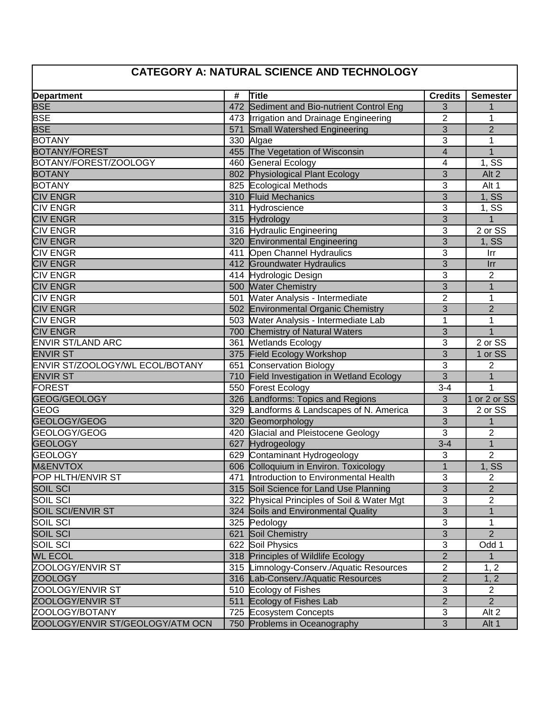# **CATEGORY A: NATURAL SCIENCE AND TECHNOLOGY**

| <b>Department</b>                | # | Title                                       | <b>Credits</b> | <b>Semester</b>    |
|----------------------------------|---|---------------------------------------------|----------------|--------------------|
| <b>BSE</b>                       |   | 472 Sediment and Bio-nutrient Control Eng   | 3              |                    |
| <b>BSE</b>                       |   | 473  Irrigation and Drainage Engineering    | 2              | 1                  |
| <b>BSE</b>                       |   | 571 Small Watershed Engineering             | 3              | $\overline{2}$     |
| <b>BOTANY</b>                    |   | 330 Algae                                   | 3              | 1                  |
| <b>BOTANY/FOREST</b>             |   | 455 The Vegetation of Wisconsin             | $\overline{4}$ | $\mathbf{1}$       |
| BOTANY/FOREST/ZOOLOGY            |   | 460 General Ecology                         | 4              | 1, SS              |
| <b>BOTANY</b>                    |   | 802 Physiological Plant Ecology             | 3              | Alt 2              |
| <b>BOTANY</b>                    |   | 825 Ecological Methods                      | 3              | Alt 1              |
| <b>CIV ENGR</b>                  |   | 310 Fluid Mechanics                         | 3              | 1, SS              |
| <b>CIV ENGR</b>                  |   | 311 Hydroscience                            | 3              | $1, S\overline{S}$ |
| <b>CIV ENGR</b>                  |   | 315 Hydrology                               | 3              | $\mathbf{1}$       |
| <b>CIV ENGR</b>                  |   | 316 Hydraulic Engineering                   | 3              | 2 or SS            |
| <b>CIV ENGR</b>                  |   | 320 Environmental Engineering               | $\overline{3}$ | 1, SS              |
| <b>CIV ENGR</b>                  |   | 411 Open Channel Hydraulics                 | 3              | Irr                |
| <b>CIV ENGR</b>                  |   | 412 Groundwater Hydraulics                  | 3              | Irr                |
| <b>CIV ENGR</b>                  |   | 414 Hydrologic Design                       | 3              | $\overline{2}$     |
| <b>CIV ENGR</b>                  |   | 500 Water Chemistry                         | 3              | $\mathbf{1}$       |
| <b>CIV ENGR</b>                  |   | 501 Water Analysis - Intermediate           | $\overline{2}$ | 1                  |
| <b>CIV ENGR</b>                  |   | 502 Environmental Organic Chemistry         | 3              | $\overline{2}$     |
| <b>CIV ENGR</b>                  |   | 503 Water Analysis - Intermediate Lab       | 1              | 1                  |
| <b>CIV ENGR</b>                  |   | 700 Chemistry of Natural Waters             | 3              | 1                  |
| <b>ENVIR ST/LAND ARC</b>         |   | 361 Wetlands Ecology                        | 3              | 2 or SS            |
| <b>ENVIR ST</b>                  |   | 375 Field Ecology Workshop                  | $\overline{3}$ | 1 or SS            |
| ENVIR ST/ZOOLOGY/WL ECOL/BOTANY  |   | 651 Conservation Biology                    | 3              | $\overline{2}$     |
| <b>ENVIR ST</b>                  |   | 710 Field Investigation in Wetland Ecology  | $\overline{3}$ | $\mathbf 1$        |
| <b>FOREST</b>                    |   | 550 Forest Ecology                          | $3 - 4$        | 1                  |
| GEOG/GEOLOGY                     |   | 326 Landforms: Topics and Regions           | 3              | 1 or 2 or SS       |
| <b>GEOG</b>                      |   | 329 Landforms & Landscapes of N. America    | 3              | 2 or SS            |
| GEOLOGY/GEOG                     |   | 320 Geomorphology                           | 3              | $\mathbf{1}$       |
| GEOLOGY/GEOG                     |   | 420 Glacial and Pleistocene Geology         | 3              | $\overline{2}$     |
| <b>GEOLOGY</b>                   |   | 627 Hydrogeology                            | $3 - 4$        | $\overline{1}$     |
| <b>GEOLOGY</b>                   |   | 629 Contaminant Hydrogeology                | 3              | $\overline{2}$     |
| <b>M&amp;ENVTOX</b>              |   | 606 Colloquium in Environ. Toxicology       | 1              | <b>1, SS</b>       |
| POP HLTH/ENVIR ST                |   | 471 Introduction to Environmental Health    | 3              | 2                  |
| SOIL SCI                         |   | 315 Soil Science for Land Use Planning      | $\overline{3}$ | $\overline{2}$     |
| <b>SOIL SCI</b>                  |   | 322 Physical Principles of Soil & Water Mgt | 3              | $\overline{2}$     |
| <b>SOIL SCI/ENVIR ST</b>         |   | 324 Soils and Environmental Quality         | 3              | 1                  |
| <b>SOIL SCI</b>                  |   | 325 Pedology                                | 3              | 1                  |
| <b>SOIL SCI</b>                  |   | 621 Soil Chemistry                          | 3              | $\overline{2}$     |
| <b>SOIL SCI</b>                  |   | 622 Soil Physics                            | 3              | Odd 1              |
| <b>WL ECOL</b>                   |   | 318 Principles of Wildlife Ecology          | $\overline{2}$ | $\mathbf{1}$       |
| ZOOLOGY/ENVIR ST                 |   | 315 Limnology-Conserv./Aquatic Resources    | 2              | 1, 2               |
| <b>ZOOLOGY</b>                   |   | 316 Lab-Conserv./Aquatic Resources          | $\overline{2}$ | 1, 2               |
| <b>ZOOLOGY/ENVIR ST</b>          |   | 510 Ecology of Fishes                       | 3              | $\overline{2}$     |
| ZOOLOGY/ENVIR ST                 |   | 511 Ecology of Fishes Lab                   | $\overline{2}$ | $\overline{2}$     |
| ZOOLOGY/BOTANY                   |   | 725 Ecosystem Concepts                      | 3              | Alt 2              |
| ZOOLOGY/ENVIR ST/GEOLOGY/ATM OCN |   | 750 Problems in Oceanography                | $\overline{3}$ | Alt 1              |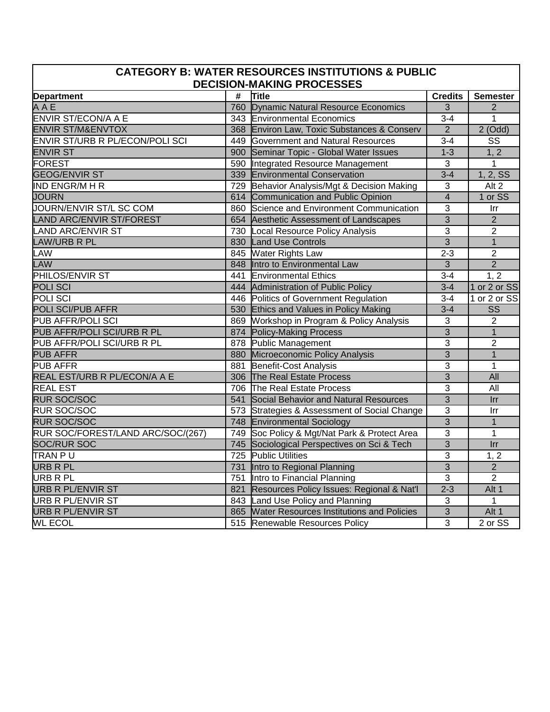#### **CATEGORY B: WATER RESOURCES INSTITUTIONS & PUBLIC DECISION-MAKING PROCESSES**

|                                   | #   | Title                                         | <b>Credits</b> |                        |
|-----------------------------------|-----|-----------------------------------------------|----------------|------------------------|
| <b>Department</b>                 |     |                                               |                | <b>Semester</b>        |
| A A E                             |     | 760 Dynamic Natural Resource Economics        | 3              | $\overline{2}$         |
| <b>ENVIR ST/ECON/A A E</b>        |     | 343 Environmental Economics                   | $3 - 4$        | $\mathbf{1}$           |
| <b>ENVIR ST/M&amp;ENVTOX</b>      |     | 368 Environ Law, Toxic Substances & Conserv   | $\overline{2}$ | $2$ (Odd)              |
| ENVIR ST/URB R PL/ECON/POLI SCI   |     | 449 Government and Natural Resources          | $3 - 4$        | SS                     |
| <b>ENVIR ST</b>                   |     | 900 Seminar Topic - Global Water Issues       | $1 - 3$        | 1, 2                   |
| <b>FOREST</b>                     |     | 590 Integrated Resource Management            | $\overline{3}$ | $\mathbf{1}$           |
| <b>GEOG/ENVIR ST</b>              |     | 339 Environmental Conservation                | $3 - 4$        | 1, 2, SS               |
| <b>IND ENGR/M H R</b>             |     | 729 Behavior Analysis/Mgt & Decision Making   | 3              | Alt <sub>2</sub>       |
| <b>JOURN</b>                      |     | 614 Communication and Public Opinion          | $\overline{4}$ | 1 or SS                |
| JOURN/ENVIR ST/L SC COM           |     | 860 Science and Environment Communication     | 3              | Irr                    |
| <b>LAND ARC/ENVIR ST/FOREST</b>   |     | 654 Aesthetic Assessment of Landscapes        | $\overline{3}$ | $\overline{2}$         |
| <b>LAND ARC/ENVIR ST</b>          |     | 730 Local Resource Policy Analysis            | 3              | $\overline{2}$         |
| <b>LAW/URB R PL</b>               | 830 | <b>Land Use Controls</b>                      | $\overline{3}$ | $\overline{1}$         |
| <b>LAW</b>                        |     | 845 Water Rights Law                          | $2 - 3$        | $\overline{2}$         |
| <b>LAW</b>                        |     | 848 Intro to Environmental Law                | $\overline{3}$ | $\overline{2}$         |
| PHILOS/ENVIR ST                   |     | 441 Environmental Ethics                      | $3 - 4$        | 1, 2                   |
| <b>POLISCI</b>                    |     | 444 Administration of Public Policy           | $3 - 4$        | 1 or 2 or SS           |
| <b>POLISCI</b>                    |     | 446 Politics of Government Regulation         | $3 - 4$        | 1 or 2 or SS           |
| POLI SCI/PUB AFFR                 |     | 530 Ethics and Values in Policy Making        | $3 - 4$        | $\overline{\text{SS}}$ |
| PUB AFFR/POLI SCI                 |     | 869 Workshop in Program & Policy Analysis     | 3              | $\overline{2}$         |
| PUB AFFR/POLI SCI/URB R PL        |     | 874 Policy-Making Process                     | $\overline{3}$ | $\mathbf{1}$           |
| PUB AFFR/POLI SCI/URB R PL        |     | 878 Public Management                         | 3              | $\overline{2}$         |
| <b>PUB AFFR</b>                   |     | 880 Microeconomic Policy Analysis             | $\overline{3}$ | $\mathbf{1}$           |
| <b>PUB AFFR</b>                   |     | 881 Benefit-Cost Analysis                     | 3              | $\mathbf{1}$           |
| REAL EST/URB R PL/ECON/A A E      |     | 306 The Real Estate Process                   | $\overline{3}$ | <b>All</b>             |
| <b>REAL EST</b>                   |     | 706 The Real Estate Process                   | 3              | All                    |
| <b>RUR SOC/SOC</b>                |     | 541 Social Behavior and Natural Resources     | $\overline{3}$ | <b>Irr</b>             |
| <b>RUR SOC/SOC</b>                |     | 573 Strategies & Assessment of Social Change  | 3              | Irr                    |
| <b>RUR SOC/SOC</b>                |     | 748 Environmental Sociology                   | $\overline{3}$ | $\overline{1}$         |
| RUR SOC/FOREST/LAND ARC/SOC/(267) | 749 | Soc Policy & Mgt/Nat Park & Protect Area      | 3              | $\mathbf{1}$           |
| <b>SOC/RUR SOC</b>                | 745 | Sociological Perspectives on Sci & Tech       | $\overline{3}$ | Irr                    |
| TRAN PU                           |     | 725 Public Utilities                          | 3              | 1, 2                   |
| <b>URB R PL</b>                   | 731 | Intro to Regional Planning                    | $\overline{3}$ | $\overline{2}$         |
| <b>URB R PL</b>                   | 751 | Intro to Financial Planning                   | 3              | $\overline{2}$         |
| <b>URB R PL/ENVIR ST</b>          | 821 | Resources Policy Issues: Regional & Nat'l     | $2 - 3$        | Alt 1                  |
| <b>URB R PL/ENVIR ST</b>          |     | 843 Land Use Policy and Planning              | $\overline{3}$ | $\mathbf{1}$           |
| <b>URB R PL/ENVIR ST</b>          |     | 865 Water Resources Institutions and Policies | $\overline{3}$ | Alt 1                  |
| <b>WL ECOL</b>                    |     | 515 Renewable Resources Policy                | 3              | 2 or SS                |
|                                   |     |                                               |                |                        |